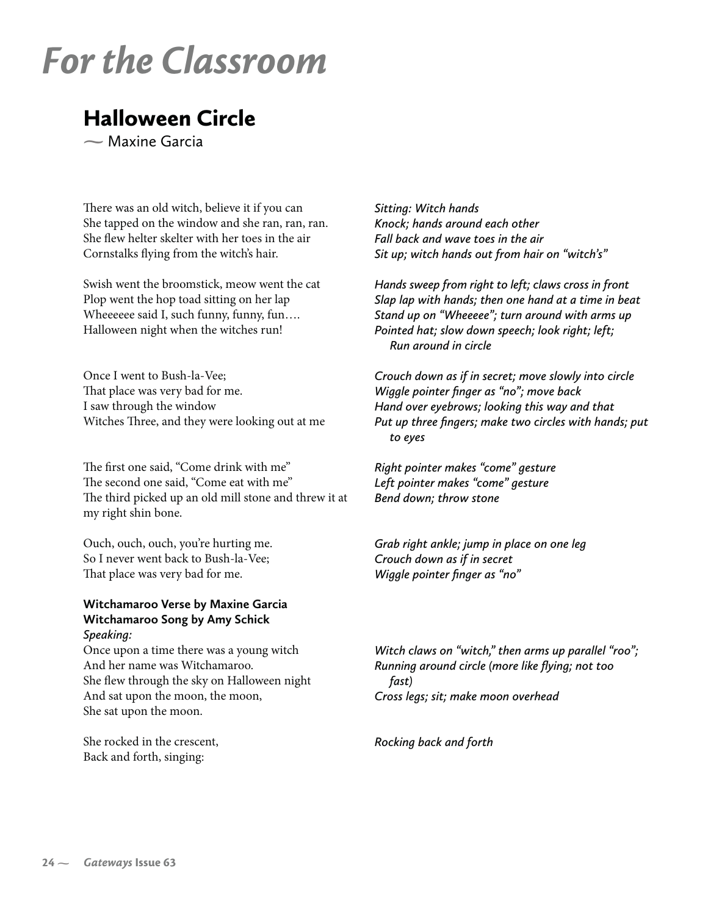# **For the Classroom**

# **Halloween Circle**

 $\sim$  Maxine Garcia

There was an old witch, believe it if you can She tapped on the window and she ran, ran, ran. She flew helter skelter with her toes in the air Cornstalks flying from the witch's hair.

Swish went the broomstick, meow went the cat Plop went the hop toad sitting on her lap Wheeeeee said I, such funny, funny, fun.... Halloween night when the witches run!

Once I went to Bush-la-Vee: That place was very bad for me. I saw through the window Witches Three, and they were looking out at me

The first one said. "Come drink with me" The second one said, "Come eat with me" The third picked up an old mill stone and threw it at my right shin bone.

Ouch, ouch, ouch, you're hurting me. So I never went back to Bush-la-Vee; That place was very bad for me.

# Witchamaroo Verse by Maxine Garcia Witchamaroo Song by Amy Schick Speaking:

Once upon a time there was a young witch And her name was Witchamaroo. She flew through the sky on Halloween night And sat upon the moon, the moon, She sat upon the moon.

She rocked in the crescent, Back and forth, singing:

Sitting: Witch hands Knock; hands around each other Fall back and wave toes in the air Sit up; witch hands out from hair on "witch's"

Hands sweep from right to left; claws cross in front Slap lap with hands; then one hand at a time in beat Stand up on "Wheeeee"; turn around with arms up Pointed hat; slow down speech; look right; left; Run around in circle

Crouch down as if in secret; move slowly into circle Wiggle pointer finger as "no"; move back Hand over eyebrows; looking this way and that Put up three fingers; make two circles with hands; put to eyes

Right pointer makes "come" gesture Left pointer makes "come" gesture Bend down; throw stone

Grab right ankle; jump in place on one leg Crouch down as if in secret Wiggle pointer finger as "no"

Witch claws on "witch," then arms up parallel "roo"; Running around circle (more like flying; not too fast) Cross legs; sit; make moon overhead

Rocking back and forth